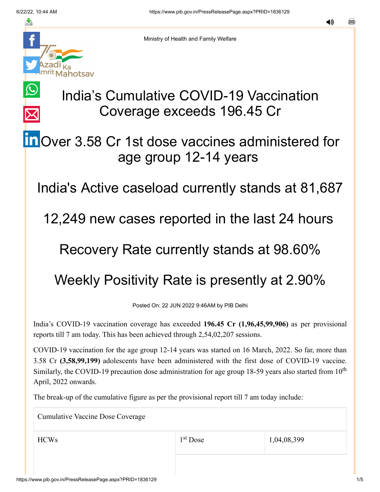$\bigcirc$ 

 $\overline{\times}$ 



Ministry of Health and Family Welfare

# India's Cumulative COVID-19 Vaccination Coverage exceeds 196.45 Cr

## **in** [O](https://www.linkedin.com/shareArticle?mini=true&url=https://pib.gov.in/PressReleasePage.aspx?PRID=1836129&title=India%E2%80%99s%20Cumulative%20COVID-19%20Vaccination%20Coverage%20exceeds%20196.45%20Cr&summary=My%20favorite%20developer%20program&source=LinkedIn)ver 3.58 Cr 1st dose vaccines administered for age group 12-14 years

India's Active caseload currently stands at 81,687

12,249 new cases reported in the last 24 hours

#### Recovery Rate currently stands at 98.60%

## Weekly Positivity Rate is presently at 2.90%

Posted On: 22 JUN 2022 9:46AM by PIB Delhi

India's COVID-19 vaccination coverage has exceeded **196.45 Cr (1,96,45,99,906)** as per provisional reports till 7 am today. This has been achieved through 2,54,02,207 sessions.

COVID-19 vaccination for the age group 12-14 years was started on 16 March, 2022. So far, more than 3.58 Cr **(3,58,99,199)** adolescents have been administered with the first dose of COVID-19 vaccine. Similarly, the COVID-19 precaution dose administration for age group 18-59 years also started from  $10<sup>th</sup>$ April, 2022 onwards.

The break-up of the cumulative figure as per the provisional report till 7 am today include:

Cumulative Vaccine Dose Coverage

1<sup>st</sup> Dose

 $1^{\text{st}}$  Dose 1,04,08,399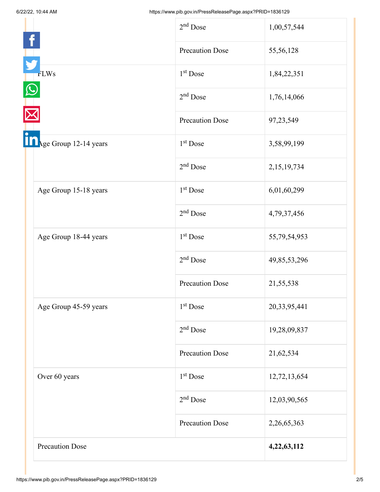|                        | $2nd$ Dose             | 1,00,57,544  |
|------------------------|------------------------|--------------|
|                        | <b>Precaution Dose</b> | 55,56,128    |
| <b>FLWs</b>            | 1 <sup>st</sup> Dose   | 1,84,22,351  |
|                        | $2nd$ Dose             | 1,76,14,066  |
|                        | <b>Precaution Dose</b> | 97,23,549    |
| Rege Group 12-14 years | $1st$ Dose             | 3,58,99,199  |
|                        | $2nd$ Dose             | 2,15,19,734  |
| Age Group 15-18 years  | $1st$ Dose             | 6,01,60,299  |
|                        | $2nd$ Dose             | 4,79,37,456  |
| Age Group 18-44 years  | 1 <sup>st</sup> Dose   | 55,79,54,953 |
|                        | $2nd$ Dose             | 49,85,53,296 |
|                        | <b>Precaution Dose</b> | 21,55,538    |
| Age Group 45-59 years  | 1 <sup>st</sup> Dose   | 20,33,95,441 |
|                        | $2nd$ Dose             | 19,28,09,837 |
|                        | <b>Precaution Dose</b> | 21,62,534    |
| Over 60 years          | 1 <sup>st</sup> Dose   | 12,72,13,654 |
|                        | $2nd$ Dose             | 12,03,90,565 |
|                        | <b>Precaution Dose</b> | 2,26,65,363  |
| <b>Precaution Dose</b> |                        | 4,22,63,112  |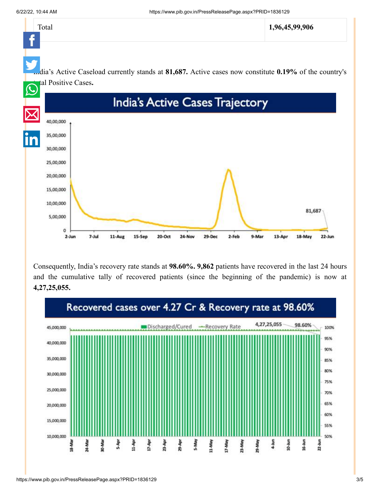

Consequently, India's recovery rate stands at **98.60%. 9,862** patients have recovered in the last 24 hours and the cumulative tally of recovered patients (since the beginning of the pandemic) is now at **4,27,25,055.**

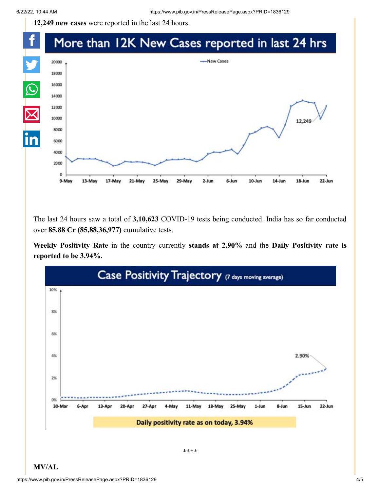**12,249 new cases** were reported in the last 24 hours.

#### f More than 12K New Cases reported in last 24 hrs



The last 24 hours saw a total of **3,10,623** COVID-19 tests being conducted. India has so far conducted over **85.88 Cr (85,88,36,977)** cumulative tests.

**Weekly Positivity Rate** in the country currently **stands at 2.90%** and the **Daily Positivity rate is reported to be 3.94%.**



**MV/AL**